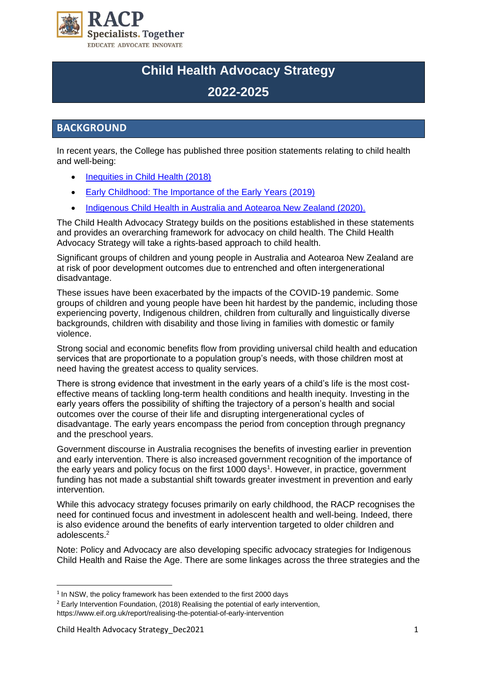

# **Child Health Advocacy Strategy**

# **2022-2025**

## **BACKGROUND**

In recent years, the College has published three position statements relating to child health and well-being:

- [Inequities in Child Health \(2018\)](https://www.racp.edu.au/docs/default-source/advocacy-library/racp-inequities-in-child-health-position-statement.pdf)
- [Early Childhood: The Importance of the Early Years \(2019\)](https://www.racp.edu.au/docs/default-source/advocacy-library/early-childhood-importance-of-early-years-position-statement.pdf)
- [Indigenous Child Health in Australia and Aotearoa New Zealand \(2020\).](https://www.racp.edu.au/docs/default-source/advocacy-library/indigenous-ch-statement-on-ich.pdf?sfvrsn=450ef91a_7)

The Child Health Advocacy Strategy builds on the positions established in these statements and provides an overarching framework for advocacy on child health. The Child Health Advocacy Strategy will take a rights-based approach to child health.

Significant groups of children and young people in Australia and Aotearoa New Zealand are at risk of poor development outcomes due to entrenched and often intergenerational disadvantage.

These issues have been exacerbated by the impacts of the COVID-19 pandemic. Some groups of children and young people have been hit hardest by the pandemic, including those experiencing poverty, Indigenous children, children from culturally and linguistically diverse backgrounds, children with disability and those living in families with domestic or family violence.

Strong social and economic benefits flow from providing universal child health and education services that are proportionate to a population group's needs, with those children most at need having the greatest access to quality services.

There is strong evidence that investment in the early years of a child's life is the most costeffective means of tackling long-term health conditions and health inequity. Investing in the early years offers the possibility of shifting the trajectory of a person's health and social outcomes over the course of their life and disrupting intergenerational cycles of disadvantage. The early years encompass the period from conception through pregnancy and the preschool years.

Government discourse in Australia recognises the benefits of investing earlier in prevention and early intervention. There is also increased government recognition of the importance of the early years and policy focus on the first 1000 days<sup>1</sup>. However, in practice, government funding has not made a substantial shift towards greater investment in prevention and early intervention.

While this advocacy strategy focuses primarily on early childhood, the RACP recognises the need for continued focus and investment in adolescent health and well-being. Indeed, there is also evidence around the benefits of early intervention targeted to older children and adolescents.<sup>2</sup>

Note: Policy and Advocacy are also developing specific advocacy strategies for Indigenous Child Health and Raise the Age. There are some linkages across the three strategies and the

 $1$  In NSW, the policy framework has been extended to the first 2000 days

 $2$  Early Intervention Foundation, (2018) Realising the potential of early intervention, https://www.eif.org.uk/report/realising-the-potential-of-early-intervention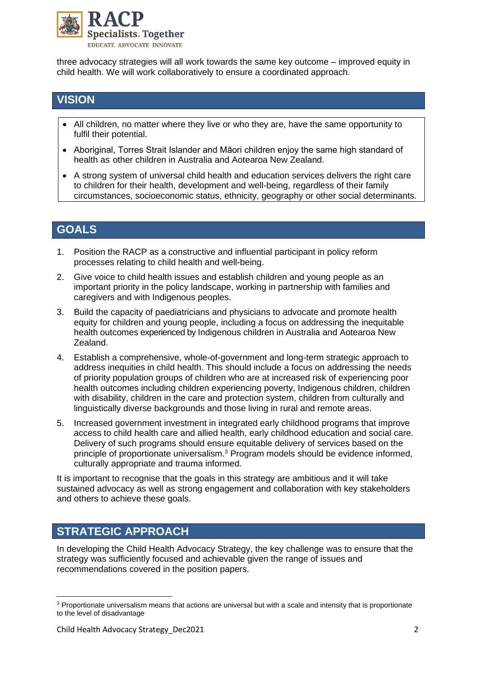

three advocacy strategies will all work towards the same key outcome – improved equity in child health. We will work collaboratively to ensure a coordinated approach.

## **VISION**

- All children, no matter where they live or who they are, have the same opportunity to fulfil their potential.
- Aboriginal, Torres Strait Islander and Māori children enjoy the same high standard of health as other children in Australia and Aotearoa New Zealand.
- A strong system of universal child health and education services delivers the right care to children for their health, development and well-being, regardless of their family circumstances, socioeconomic status, ethnicity, geography or other social determinants.

## **GOALS**

- 1. Position the RACP as a constructive and influential participant in policy reform processes relating to child health and well-being.
- 2. Give voice to child health issues and establish children and young people as an important priority in the policy landscape, working in partnership with families and caregivers and with Indigenous peoples.
- 3. Build the capacity of paediatricians and physicians to advocate and promote health equity for children and young people, including a focus on addressing the inequitable health outcomes experienced by Indigenous children in Australia and Aotearoa New Zealand.
- 4. Establish a comprehensive, whole-of-government and long-term strategic approach to address inequities in child health. This should include a focus on addressing the needs of priority population groups of children who are at increased risk of experiencing poor health outcomes including children experiencing poverty, Indigenous children, children with disability, children in the care and protection system, children from culturally and linguistically diverse backgrounds and those living in rural and remote areas.
- 5. Increased government investment in integrated early childhood programs that improve access to child health care and allied health, early childhood education and social care. Delivery of such programs should ensure equitable delivery of services based on the principle of proportionate universalism.<sup>3</sup> Program models should be evidence informed, culturally appropriate and trauma informed.

It is important to recognise that the goals in this strategy are ambitious and it will take sustained advocacy as well as strong engagement and collaboration with key stakeholders and others to achieve these goals.

# **STRATEGIC APPROACH**

In developing the Child Health Advocacy Strategy, the key challenge was to ensure that the strategy was sufficiently focused and achievable given the range of issues and recommendations covered in the position papers.

<sup>&</sup>lt;sup>3</sup> Proportionate universalism means that actions are universal but with a scale and intensity that is proportionate to the level of disadvantage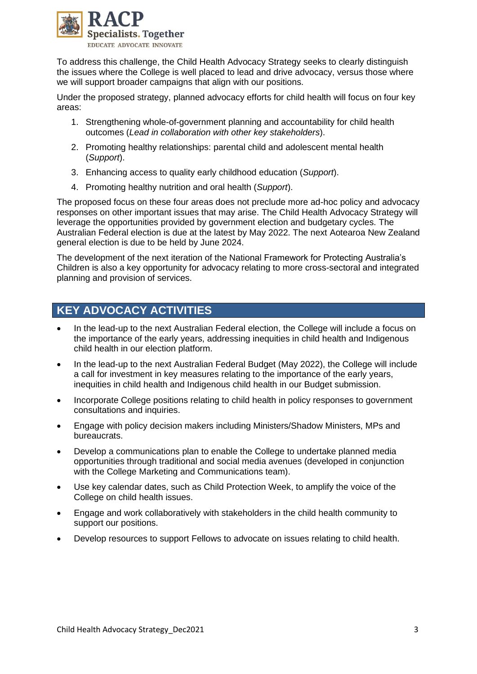

To address this challenge, the Child Health Advocacy Strategy seeks to clearly distinguish the issues where the College is well placed to lead and drive advocacy, versus those where we will support broader campaigns that align with our positions.

Under the proposed strategy, planned advocacy efforts for child health will focus on four key areas:

- 1. Strengthening whole-of-government planning and accountability for child health outcomes (*Lead in collaboration with other key stakeholders*).
- 2. Promoting healthy relationships: parental child and adolescent mental health (*Support*).
- 3. Enhancing access to quality early childhood education (*Support*).
- 4. Promoting healthy nutrition and oral health (*Support*).

The proposed focus on these four areas does not preclude more ad-hoc policy and advocacy responses on other important issues that may arise. The Child Health Advocacy Strategy will leverage the opportunities provided by government election and budgetary cycles. The Australian Federal election is due at the latest by May 2022. The next Aotearoa New Zealand general election is due to be held by June 2024.

The development of the next iteration of the National Framework for Protecting Australia's Children is also a key opportunity for advocacy relating to more cross-sectoral and integrated planning and provision of services.

# **KEY ADVOCACY ACTIVITIES**

- In the lead-up to the next Australian Federal election, the College will include a focus on the importance of the early years, addressing inequities in child health and Indigenous child health in our election platform.
- In the lead-up to the next Australian Federal Budget (May 2022), the College will include a call for investment in key measures relating to the importance of the early years, inequities in child health and Indigenous child health in our Budget submission.
- Incorporate College positions relating to child health in policy responses to government consultations and inquiries.
- Engage with policy decision makers including Ministers/Shadow Ministers, MPs and bureaucrats.
- Develop a communications plan to enable the College to undertake planned media opportunities through traditional and social media avenues (developed in conjunction with the College Marketing and Communications team).
- Use key calendar dates, such as Child Protection Week, to amplify the voice of the College on child health issues.
- Engage and work collaboratively with stakeholders in the child health community to support our positions.
- Develop resources to support Fellows to advocate on issues relating to child health.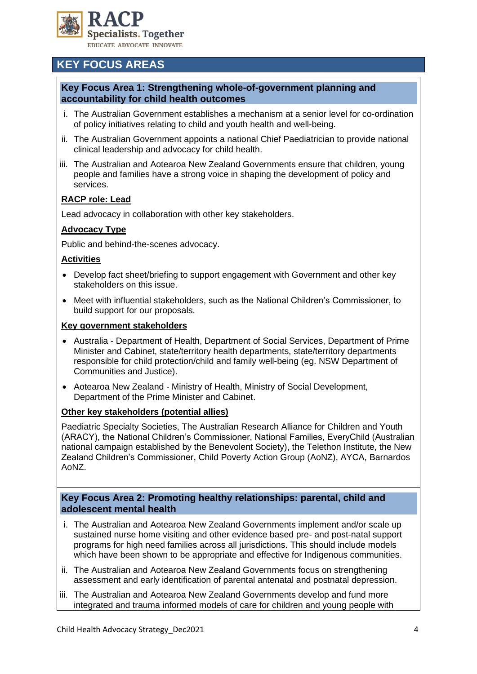

# **KEY FOCUS AREAS**

#### **Key Focus Area 1: Strengthening whole-of-government planning and accountability for child health outcomes**

- i. The Australian Government establishes a mechanism at a senior level for co-ordination of policy initiatives relating to child and youth health and well-being.
- ii. The Australian Government appoints a national Chief Paediatrician to provide national clinical leadership and advocacy for child health.
- iii. The Australian and Aotearoa New Zealand Governments ensure that children, young people and families have a strong voice in shaping the development of policy and services.

### **RACP role: Lead**

Lead advocacy in collaboration with other key stakeholders.

#### **Advocacy Type**

Public and behind-the-scenes advocacy.

#### **Activities**

- Develop fact sheet/briefing to support engagement with Government and other key stakeholders on this issue.
- Meet with influential stakeholders, such as the National Children's Commissioner, to build support for our proposals.

#### **Key government stakeholders**

- Australia Department of Health, Department of Social Services, Department of Prime Minister and Cabinet, state/territory health departments, state/territory departments responsible for child protection/child and family well-being (eg. NSW Department of Communities and Justice).
- Aotearoa New Zealand Ministry of Health, Ministry of Social Development, Department of the Prime Minister and Cabinet.

#### **Other key stakeholders (potential allies)**

Paediatric Specialty Societies, The Australian Research Alliance for Children and Youth (ARACY), the National Children's Commissioner, National Families, EveryChild (Australian national campaign established by the Benevolent Society), the Telethon Institute, the New Zealand Children's Commissioner, Child Poverty Action Group (AoNZ), AYCA, Barnardos AoNZ.

#### **Key Focus Area 2: Promoting healthy relationships: parental, child and adolescent mental health**

- i. The Australian and Aotearoa New Zealand Governments implement and/or scale up sustained nurse home visiting and other evidence based pre- and post-natal support programs for high need families across all jurisdictions. This should include models which have been shown to be appropriate and effective for Indigenous communities.
- ii. The Australian and Aotearoa New Zealand Governments focus on strengthening assessment and early identification of parental antenatal and postnatal depression.
- iii. The Australian and Aotearoa New Zealand Governments develop and fund more integrated and trauma informed models of care for children and young people with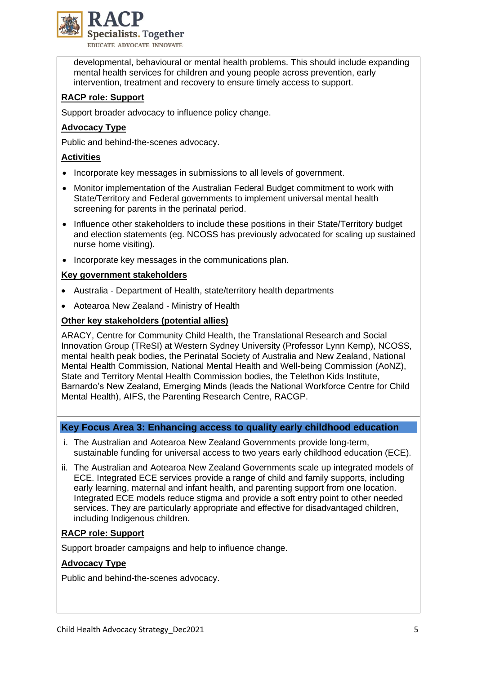

developmental, behavioural or mental health problems. This should include expanding mental health services for children and young people across prevention, early intervention, treatment and recovery to ensure timely access to support.

### **RACP role: Support**

Support broader advocacy to influence policy change.

### **Advocacy Type**

Public and behind-the-scenes advocacy.

### **Activities**

- Incorporate key messages in submissions to all levels of government.
- Monitor implementation of the Australian Federal Budget commitment to work with State/Territory and Federal governments to implement universal mental health screening for parents in the perinatal period.
- Influence other stakeholders to include these positions in their State/Territory budget and election statements (eg. NCOSS has previously advocated for scaling up sustained nurse home visiting).
- Incorporate key messages in the communications plan.

#### **Key government stakeholders**

- Australia Department of Health, state/territory health departments
- Aotearoa New Zealand Ministry of Health

#### **Other key stakeholders (potential allies)**

ARACY, Centre for Community Child Health, the Translational Research and Social Innovation Group (TReSI) at Western Sydney University (Professor Lynn Kemp), NCOSS, mental health peak bodies, the Perinatal Society of Australia and New Zealand, National Mental Health Commission, National Mental Health and Well-being Commission (AoNZ), State and Territory Mental Health Commission bodies, the Telethon Kids Institute, Barnardo's New Zealand, Emerging Minds (leads the National Workforce Centre for Child Mental Health), AIFS, the Parenting Research Centre, RACGP.

#### **Key Focus Area 3: Enhancing access to quality early childhood education**

- i. The Australian and Aotearoa New Zealand Governments provide long-term, sustainable funding for universal access to two years early childhood education (ECE).
- ii. The Australian and Aotearoa New Zealand Governments scale up integrated models of ECE. Integrated ECE services provide a range of child and family supports, including early learning, maternal and infant health, and parenting support from one location. Integrated ECE models reduce stigma and provide a soft entry point to other needed services. They are particularly appropriate and effective for disadvantaged children, including Indigenous children.

#### **RACP role: Support**

Support broader campaigns and help to influence change.

#### **Advocacy Type**

Public and behind-the-scenes advocacy.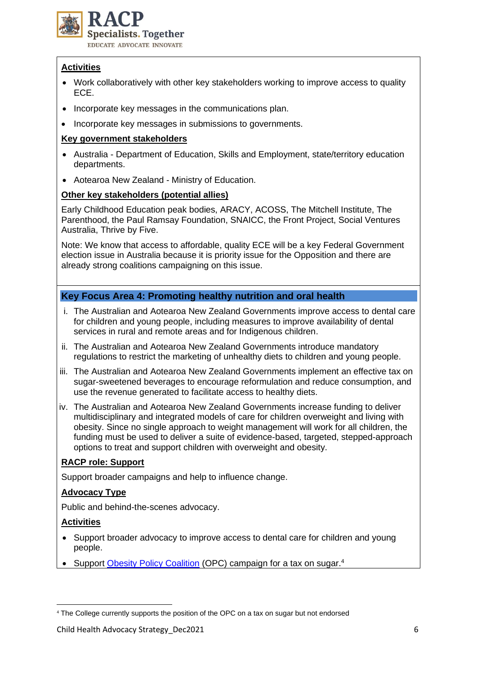

### **Activities**

- Work collaboratively with other key stakeholders working to improve access to quality ECE.
- Incorporate key messages in the communications plan.
- Incorporate key messages in submissions to governments.

#### **Key government stakeholders**

- Australia Department of Education, Skills and Employment, state/territory education departments.
- Aotearoa New Zealand Ministry of Education.

#### **Other key stakeholders (potential allies)**

Early Childhood Education peak bodies, ARACY, ACOSS, The Mitchell Institute, The Parenthood, the Paul Ramsay Foundation, SNAICC, the Front Project, Social Ventures Australia, Thrive by Five.

Note: We know that access to affordable, quality ECE will be a key Federal Government election issue in Australia because it is priority issue for the Opposition and there are already strong coalitions campaigning on this issue.

#### **Key Focus Area 4: Promoting healthy nutrition and oral health**

- i. The Australian and Aotearoa New Zealand Governments improve access to dental care for children and young people, including measures to improve availability of dental services in rural and remote areas and for Indigenous children.
- ii. The Australian and Aotearoa New Zealand Governments introduce mandatory regulations to restrict the marketing of unhealthy diets to children and young people.
- iii. The Australian and Aotearoa New Zealand Governments implement an effective tax on sugar-sweetened beverages to encourage reformulation and reduce consumption, and use the revenue generated to facilitate access to healthy diets.
- iv. The Australian and Aotearoa New Zealand Governments increase funding to deliver multidisciplinary and integrated models of care for children overweight and living with obesity. Since no single approach to weight management will work for all children, the funding must be used to deliver a suite of evidence-based, targeted, stepped-approach options to treat and support children with overweight and obesity.

### **RACP role: Support**

Support broader campaigns and help to influence change.

#### **Advocacy Type**

Public and behind-the-scenes advocacy.

#### **Activities**

- Support broader advocacy to improve access to dental care for children and young people.
- Support [Obesity Policy Coalition](https://www.opc.org.au/who-we-are) (OPC) campaign for a tax on sugar.<sup>4</sup>

<sup>4</sup> The College currently supports the position of the OPC on a tax on sugar but not endorsed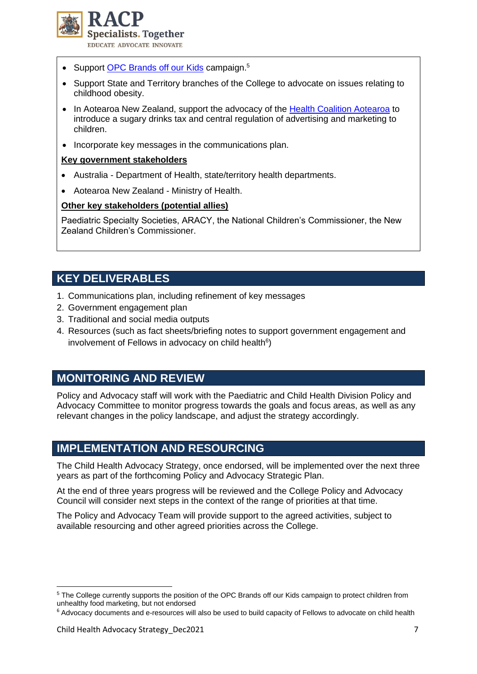

- Support [OPC Brands off our Kids](https://www.opc.org.au/brands-off-our-kids) campaign.<sup>5</sup>
- Support State and Territory branches of the College to advocate on issues relating to childhood obesity.
- In Aotearoa New Zealand, support the advocacy of the [Health Coalition Aotearoa](https://www.healthcoalition.org.nz/) to introduce a sugary drinks tax and central regulation of advertising and marketing to children.
- Incorporate key messages in the communications plan.

#### **Key government stakeholders**

- Australia Department of Health, state/territory health departments.
- Aotearoa New Zealand Ministry of Health.

#### **Other key stakeholders (potential allies)**

Paediatric Specialty Societies, ARACY, the National Children's Commissioner, the New Zealand Children's Commissioner.

## **KEY DELIVERABLES**

- 1. Communications plan, including refinement of key messages
- 2. Government engagement plan
- 3. Traditional and social media outputs
- 4. Resources (such as fact sheets/briefing notes to support government engagement and involvement of Fellows in advocacy on child health $6$ )

# **MONITORING AND REVIEW**

Policy and Advocacy staff will work with the Paediatric and Child Health Division Policy and Advocacy Committee to monitor progress towards the goals and focus areas, as well as any relevant changes in the policy landscape, and adjust the strategy accordingly.

### **IMPLEMENTATION AND RESOURCING**

The Child Health Advocacy Strategy, once endorsed, will be implemented over the next three years as part of the forthcoming Policy and Advocacy Strategic Plan.

At the end of three years progress will be reviewed and the College Policy and Advocacy Council will consider next steps in the context of the range of priorities at that time.

The Policy and Advocacy Team will provide support to the agreed activities, subject to available resourcing and other agreed priorities across the College.

<sup>5</sup> The College currently supports the position of the OPC Brands off our Kids campaign to protect children from unhealthy food marketing, but not endorsed

<sup>6</sup> Advocacy documents and e-resources will also be used to build capacity of Fellows to advocate on child health